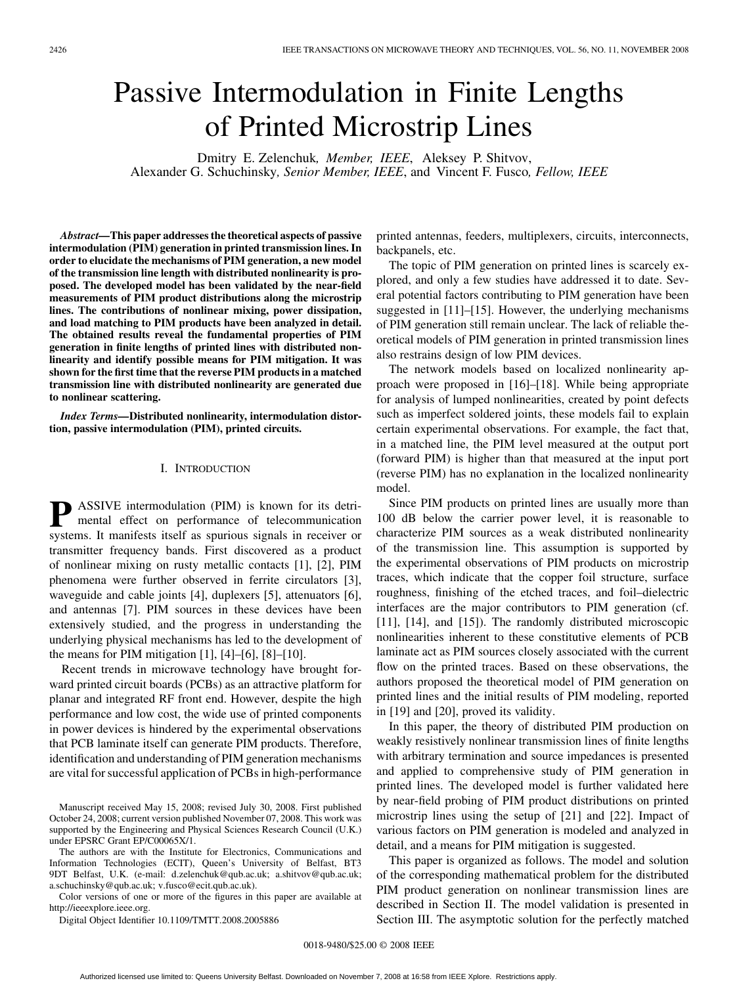# Passive Intermodulation in Finite Lengths of Printed Microstrip Lines

Dmitry E. Zelenchuk*, Member, IEEE*, Aleksey P. Shitvov, Alexander G. Schuchinsky*, Senior Member, IEEE*, and Vincent F. Fusco*, Fellow, IEEE*

*Abstract—***This paper addresses the theoretical aspects of passive intermodulation (PIM) generation in printed transmission lines. In order to elucidate the mechanisms of PIM generation, a new model of the transmission line length with distributed nonlinearity is proposed. The developed model has been validated by the near-field measurements of PIM product distributions along the microstrip lines. The contributions of nonlinear mixing, power dissipation, and load matching to PIM products have been analyzed in detail. The obtained results reveal the fundamental properties of PIM generation in finite lengths of printed lines with distributed nonlinearity and identify possible means for PIM mitigation. It was shown for the first time that the reverse PIM products in a matched transmission line with distributed nonlinearity are generated due to nonlinear scattering.**

*Index Terms—***Distributed nonlinearity, intermodulation distortion, passive intermodulation (PIM), printed circuits.**

## I. INTRODUCTION

**P** ASSIVE intermodulation (PIM) is known for its detrimental effect on performance of telecommunication systems. It manifests itself as spurious signals in receiver or transmitter frequency bands. First discovered as a product of nonlinear mixing on rusty metallic contacts [1], [2], PIM phenomena were further observed in ferrite circulators [3], waveguide and cable joints [4], duplexers [5], attenuators [6], and antennas [7]. PIM sources in these devices have been extensively studied, and the progress in understanding the underlying physical mechanisms has led to the development of the means for PIM mitigation  $[1]$ ,  $[4]$ – $[6]$ ,  $[8]$ – $[10]$ .

Recent trends in microwave technology have brought forward printed circuit boards (PCBs) as an attractive platform for planar and integrated RF front end. However, despite the high performance and low cost, the wide use of printed components in power devices is hindered by the experimental observations that PCB laminate itself can generate PIM products. Therefore, identification and understanding of PIM generation mechanisms are vital for successful application of PCBs in high-performance

The authors are with the Institute for Electronics, Communications and Information Technologies (ECIT), Queen's University of Belfast, BT3 9DT Belfast, U.K. (e-mail: d.zelenchuk@qub.ac.uk; a.shitvov@qub.ac.uk; a.schuchinsky@qub.ac.uk; v.fusco@ecit.qub.ac.uk).

Color versions of one or more of the figures in this paper are available at http://ieeexplore.ieee.org.

Digital Object Identifier 10.1109/TMTT.2008.2005886

printed antennas, feeders, multiplexers, circuits, interconnects, backpanels, etc.

The topic of PIM generation on printed lines is scarcely explored, and only a few studies have addressed it to date. Several potential factors contributing to PIM generation have been suggested in [11]–[15]. However, the underlying mechanisms of PIM generation still remain unclear. The lack of reliable theoretical models of PIM generation in printed transmission lines also restrains design of low PIM devices.

The network models based on localized nonlinearity approach were proposed in [16]–[18]. While being appropriate for analysis of lumped nonlinearities, created by point defects such as imperfect soldered joints, these models fail to explain certain experimental observations. For example, the fact that, in a matched line, the PIM level measured at the output port (forward PIM) is higher than that measured at the input port (reverse PIM) has no explanation in the localized nonlinearity model.

Since PIM products on printed lines are usually more than 100 dB below the carrier power level, it is reasonable to characterize PIM sources as a weak distributed nonlinearity of the transmission line. This assumption is supported by the experimental observations of PIM products on microstrip traces, which indicate that the copper foil structure, surface roughness, finishing of the etched traces, and foil–dielectric interfaces are the major contributors to PIM generation (cf. [11], [14], and [15]). The randomly distributed microscopic nonlinearities inherent to these constitutive elements of PCB laminate act as PIM sources closely associated with the current flow on the printed traces. Based on these observations, the authors proposed the theoretical model of PIM generation on printed lines and the initial results of PIM modeling, reported in [19] and [20], proved its validity.

In this paper, the theory of distributed PIM production on weakly resistively nonlinear transmission lines of finite lengths with arbitrary termination and source impedances is presented and applied to comprehensive study of PIM generation in printed lines. The developed model is further validated here by near-field probing of PIM product distributions on printed microstrip lines using the setup of [21] and [22]. Impact of various factors on PIM generation is modeled and analyzed in detail, and a means for PIM mitigation is suggested.

This paper is organized as follows. The model and solution of the corresponding mathematical problem for the distributed PIM product generation on nonlinear transmission lines are described in Section II. The model validation is presented in Section III. The asymptotic solution for the perfectly matched

Manuscript received May 15, 2008; revised July 30, 2008. First published October 24, 2008; current version published November 07, 2008. This work was supported by the Engineering and Physical Sciences Research Council (U.K.) under EPSRC Grant EP/C00065X/1.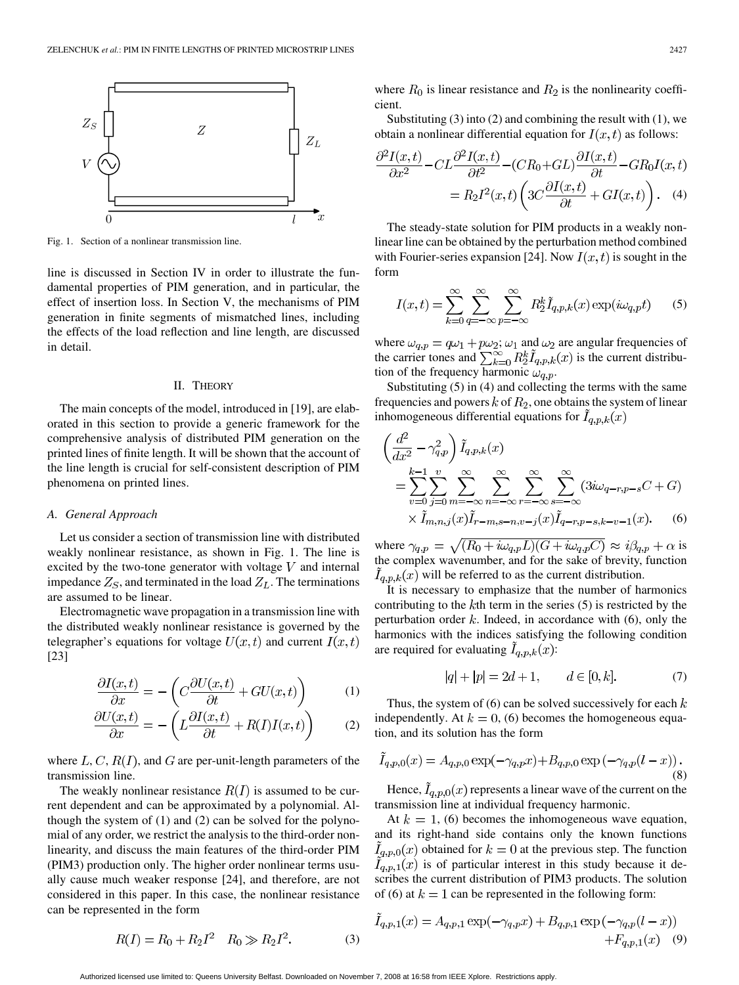

Fig. 1. Section of a nonlinear transmission line.

line is discussed in Section IV in order to illustrate the fundamental properties of PIM generation, and in particular, the effect of insertion loss. In Section V, the mechanisms of PIM generation in finite segments of mismatched lines, including the effects of the load reflection and line length, are discussed in detail.

## II. THEORY

The main concepts of the model, introduced in [19], are elaborated in this section to provide a generic framework for the comprehensive analysis of distributed PIM generation on the printed lines of finite length. It will be shown that the account of the line length is crucial for self-consistent description of PIM phenomena on printed lines.

#### *A. General Approach*

Let us consider a section of transmission line with distributed weakly nonlinear resistance, as shown in Fig. 1. The line is excited by the two-tone generator with voltage  $V$  and internal impedance  $Z_S$ , and terminated in the load  $Z_L$ . The terminations are assumed to be linear.

Electromagnetic wave propagation in a transmission line with the distributed weakly nonlinear resistance is governed by the telegrapher's equations for voltage  $U(x,t)$  and current  $I(x,t)$ [23]

$$
\frac{\partial I(x,t)}{\partial x} = -\left(C\frac{\partial U(x,t)}{\partial t} + GU(x,t)\right) \tag{1}
$$

$$
\frac{\partial U(x,t)}{\partial x} = -\left(L\frac{\partial I(x,t)}{\partial t} + R(I)I(x,t)\right) \tag{2}
$$

where  $L, C, R(I)$ , and G are per-unit-length parameters of the transmission line.

The weakly nonlinear resistance  $R(I)$  is assumed to be current dependent and can be approximated by a polynomial. Although the system of (1) and (2) can be solved for the polynomial of any order, we restrict the analysis to the third-order nonlinearity, and discuss the main features of the third-order PIM (PIM3) production only. The higher order nonlinear terms usually cause much weaker response [24], and therefore, are not considered in this paper. In this case, the nonlinear resistance can be represented in the form

 $R(I) = R_0 + R_2 I^2$   $R_0 \gg R_2 I^2$ .

where 
$$
R_0
$$
 is linear resistance and  $R_2$  is the nonlinearity coefficient.

Substituting  $(3)$  into  $(2)$  and combining the result with  $(1)$ , we obtain a nonlinear differential equation for  $I(x, t)$  as follows:

 $\acute{\epsilon}$ 

$$
\frac{\partial^2 I(x,t)}{\partial x^2} - CL \frac{\partial^2 I(x,t)}{\partial t^2} - (CR_0 + GL) \frac{\partial I(x,t)}{\partial t} - GR_0 I(x,t)
$$

$$
= R_2 I^2(x,t) \left( 3C \frac{\partial I(x,t)}{\partial t} + GI(x,t) \right). \quad (4)
$$

The steady-state solution for PIM products in a weakly nonlinear line can be obtained by the perturbation method combined with Fourier-series expansion [24]. Now  $I(x, t)$  is sought in the form

$$
I(x,t) = \sum_{k=0}^{\infty} \sum_{q=-\infty}^{\infty} \sum_{p=-\infty}^{\infty} R_2^k \tilde{I}_{q,p,k}(x) \exp(i\omega_{q,p}t)
$$
 (5)

where  $\omega_{q,p} = q\omega_1 + p\omega_2$ ;  $\omega_1$  and  $\omega_2$  are angular frequencies of the carrier tones and  $\sum_{k=0}^{\infty} R_2^k I_{q,p,k}(x)$  is the current distribution of the frequency harmonic  $\omega_{q,p}$ .

Substituting (5) in (4) and collecting the terms with the same frequencies and powers  $k$  of  $R_2$ , one obtains the system of linear inhomogeneous differential equations for  $I_{q,p,k}(x)$ 

$$
\left(\frac{d^2}{dx^2} - \gamma_{q,p}^2\right) \tilde{I}_{q,p,k}(x) \n= \sum_{v=0}^{k-1} \sum_{j=0}^v \sum_{m=-\infty}^{\infty} \sum_{n=-\infty}^{\infty} \sum_{r=-\infty}^{\infty} \sum_{s=-\infty}^{\infty} \left(3i\omega_{q-r,p-s}C + G\right) \n\times \tilde{I}_{m,n,j}(x) \tilde{I}_{r-m,s-n,v-j}(x) \tilde{I}_{q-r,p-s,k-v-1}(x).
$$
\n(6)

where  $\gamma_{q,p} = \sqrt{(R_0 + i\omega_{q,p}L)(G + i\omega_{q,p}C)} \approx i\beta_{q,p} + \alpha$  is the complex wavenumber, and for the sake of brevity, function  $I_{q,p,k}(x)$  will be referred to as the current distribution.

It is necessary to emphasize that the number of harmonics contributing to the  $k$ th term in the series  $(5)$  is restricted by the perturbation order  $k$ . Indeed, in accordance with  $(6)$ , only the harmonics with the indices satisfying the following condition are required for evaluating  $I_{q,p,k}(x)$ :

$$
|q| + |p| = 2d + 1, \qquad d \in [0, k]. \tag{7}
$$

Thus, the system of  $(6)$  can be solved successively for each k independently. At  $k = 0$ , (6) becomes the homogeneous equation, and its solution has the form

$$
\tilde{I}_{q,p,0}(x) = A_{q,p,0} \exp(-\gamma_{q,p}x) + B_{q,p,0} \exp(-\gamma_{q,p}(l-x)) \tag{8}
$$

Hence,  $I_{q,p,0}(x)$  represents a linear wave of the current on the transmission line at individual frequency harmonic.

At  $k = 1$ , (6) becomes the inhomogeneous wave equation, and its right-hand side contains only the known functions  $I_{a,p,0}(x)$  obtained for  $k=0$  at the previous step. The function  $I_{q,p,1}(x)$  is of particular interest in this study because it describes the current distribution of PIM3 products. The solution of (6) at  $k = 1$  can be represented in the following form:

$$
\tilde{I}_{q,p,1}(x) = A_{q,p,1} \exp(-\gamma_{q,p}x) + B_{q,p,1} \exp(-\gamma_{q,p}(l-x)) + F_{q,p,1}(x) \quad (9)
$$

Authorized licensed use limited to: Queens University Belfast. Downloaded on November 7, 2008 at 16:58 from IEEE Xplore. Restrictions apply.

(3)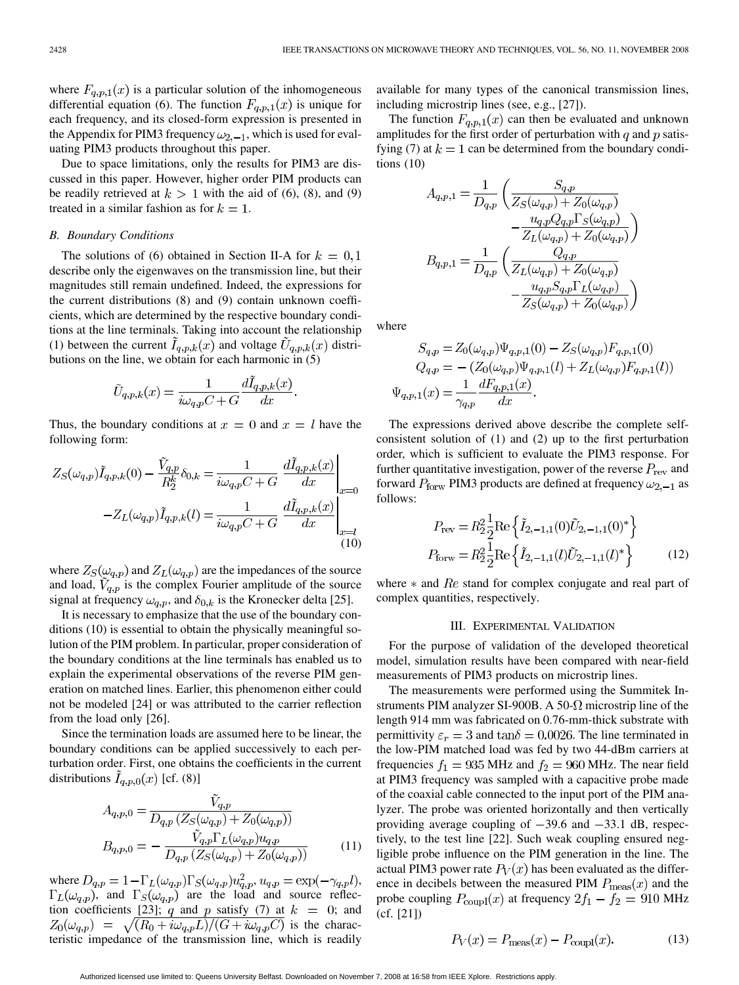where  $F_{q,p,1}(x)$  is a particular solution of the inhomogeneous differential equation (6). The function  $F_{q,p,1}(x)$  is unique for each frequency, and its closed-form expression is presented in the Appendix for PIM3 frequency  $\omega_{2,-1}$ , which is used for evaluating PIM3 products throughout this paper.

Due to space limitations, only the results for PIM3 are discussed in this paper. However, higher order PIM products can be readily retrieved at  $k > 1$  with the aid of (6), (8), and (9) treated in a similar fashion as for  $k = 1$ .

## *B. Boundary Conditions*

The solutions of (6) obtained in Section II-A for  $k = 0, 1$ describe only the eigenwaves on the transmission line, but their magnitudes still remain undefined. Indeed, the expressions for the current distributions (8) and (9) contain unknown coefficients, which are determined by the respective boundary conditions at the line terminals. Taking into account the relationship (1) between the current  $I_{q,p,k}(x)$  and voltage  $U_{q,p,k}(x)$  distributions on the line, we obtain for each harmonic in (5)

$$
\tilde{U}_{q,p,k}(x) = \frac{1}{i\omega_{q,p}C + G} \frac{d\tilde{I}_{q,p,k}(x)}{dx}.
$$

Thus, the boundary conditions at  $x = 0$  and  $x = l$  have the following form:

$$
Z_S(\omega_{q,p})\tilde{I}_{q,p,k}(0) - \frac{\tilde{V}_{q,p}}{R_2^k} \delta_{0,k} = \frac{1}{i\omega_{q,p}C + G} \left. \frac{d\tilde{I}_{q,p,k}(x)}{dx} \right|_{x=0}
$$

$$
-Z_L(\omega_{q,p})\tilde{I}_{q,p,k}(l) = \frac{1}{i\omega_{q,p}C + G} \left. \frac{d\tilde{I}_{q,p,k}(x)}{dx} \right|_{x=l}
$$
(10)

where  $Z_S(\omega_{q,p})$  and  $Z_L(\omega_{q,p})$  are the impedances of the source and load,  $V_{q,p}$  is the complex Fourier amplitude of the source signal at frequency  $\omega_{q,p}$ , and  $\delta_{0,k}$  is the Kronecker delta [25].

It is necessary to emphasize that the use of the boundary conditions (10) is essential to obtain the physically meaningful solution of the PIM problem. In particular, proper consideration of the boundary conditions at the line terminals has enabled us to explain the experimental observations of the reverse PIM generation on matched lines. Earlier, this phenomenon either could not be modeled [24] or was attributed to the carrier reflection from the load only [26].

Since the termination loads are assumed here to be linear, the boundary conditions can be applied successively to each perturbation order. First, one obtains the coefficients in the current distributions  $I_{q,p,0}(x)$  [cf. (8)]

$$
A_{q,p,0} = \frac{V_{q,p}}{D_{q,p}(Z_S(\omega_{q,p}) + Z_0(\omega_{q,p}))}
$$
  
\n
$$
B_{q,p,0} = -\frac{\tilde{V}_{q,p} \Gamma_L(\omega_{q,p}) u_{q,p}}{D_{q,p}(Z_S(\omega_{q,p}) + Z_0(\omega_{q,p}))}
$$
\n(11)

where  $D_{q,p} = 1 - \Gamma_L(\omega_{q,p}) \Gamma_S(\omega_{q,p}) u_{q,p}^2$ ,  $u_{q,p} = \exp(-\gamma_{q,p} l)$ ,  $\Gamma_L(\omega_{q,p})$ , and  $\Gamma_S(\omega_{q,p})$  are the load and source reflection coefficients [23]; q and p satisfy (7) at  $k = 0$ ; and  $Z_0(\omega_{q,p}) = \sqrt{(R_0 + i\omega_{q,p}L)/(G + i\omega_{q,p}C)}$  is the characteristic impedance of the transmission line, which is readily

available for many types of the canonical transmission lines, including microstrip lines (see, e.g., [27]).

The function  $F_{q,p,1}(x)$  can then be evaluated and unknown amplitudes for the first order of perturbation with  $q$  and  $p$  satisfying (7) at  $k = 1$  can be determined from the boundary conditions (10)

$$
A_{q,p,1} = \frac{1}{D_{q,p}} \left( \frac{S_{q,p}}{Z_S(\omega_{q,p}) + Z_0(\omega_{q,p})} - \frac{u_{q,p}Q_{q,p}\Gamma_S(\omega_{q,p})}{Z_L(\omega_{q,p}) + Z_0(\omega_{q,p})} \right)
$$
  

$$
B_{q,p,1} = \frac{1}{D_{q,p}} \left( \frac{Q_{q,p}}{Z_L(\omega_{q,p}) + Z_0(\omega_{q,p})} - \frac{u_{q,p}S_{q,p}\Gamma_L(\omega_{q,p})}{Z_S(\omega_{q,p}) + Z_0(\omega_{q,p})} \right)
$$

where

$$
S_{q,p} = Z_0(\omega_{q,p}) \Psi_{q,p,1}(0) - Z_S(\omega_{q,p}) F_{q,p,1}(0)
$$
  
\n
$$
Q_{q,p} = - (Z_0(\omega_{q,p}) \Psi_{q,p,1}(l) + Z_L(\omega_{q,p}) F_{q,p,1}(l))
$$
  
\n
$$
\Psi_{q,p,1}(x) = \frac{1}{\gamma_{q,p}} \frac{dF_{q,p,1}(x)}{dx}.
$$

The expressions derived above describe the complete selfconsistent solution of (1) and (2) up to the first perturbation order, which is sufficient to evaluate the PIM3 response. For further quantitative investigation, power of the reverse  $P_{\text{rev}}$  and forward  $P_{\text{forward}}$  PIM3 products are defined at frequency  $\omega_{2,-1}$  as follows:

$$
P_{\text{rev}} = R_2^2 \frac{1}{2} \text{Re} \left\{ \tilde{I}_{2,-1,1}(0) \tilde{U}_{2,-1,1}(0)^* \right\}
$$
  

$$
P_{\text{forw}} = R_2^2 \frac{1}{2} \text{Re} \left\{ \tilde{I}_{2,-1,1}(l) \tilde{U}_{2,-1,1}(l)^* \right\}
$$
(12)

where  $*$  and  $Re$  stand for complex conjugate and real part of complex quantities, respectively.

### III. EXPERIMENTAL VALIDATION

For the purpose of validation of the developed theoretical model, simulation results have been compared with near-field measurements of PIM3 products on microstrip lines.

The measurements were performed using the Summitek Instruments PIM analyzer SI-900B. A 50- $\Omega$  microstrip line of the length 914 mm was fabricated on 0.76-mm-thick substrate with permittivity  $\varepsilon_r = 3$  and  $\tan \delta = 0.0026$ . The line terminated in the low-PIM matched load was fed by two 44-dBm carriers at frequencies  $f_1 = 935 \text{ MHz}$  and  $f_2 = 960 \text{ MHz}$ . The near field at PIM3 frequency was sampled with a capacitive probe made of the coaxial cable connected to the input port of the PIM analyzer. The probe was oriented horizontally and then vertically providing average coupling of  $-39.6$  and  $-33.1$  dB, respectively, to the test line [22]. Such weak coupling ensured negligible probe influence on the PIM generation in the line. The actual PIM3 power rate  $P_V(x)$  has been evaluated as the difference in decibels between the measured PIM  $P_{\text{meas}}(x)$  and the probe coupling  $P_{\text{coupl}}(x)$  at frequency  $2f_1 - f_2 = 910 \text{ MHz}$ (cf. [21])

$$
P_V(x) = P_{\text{meas}}(x) - P_{\text{coupl}}(x). \tag{13}
$$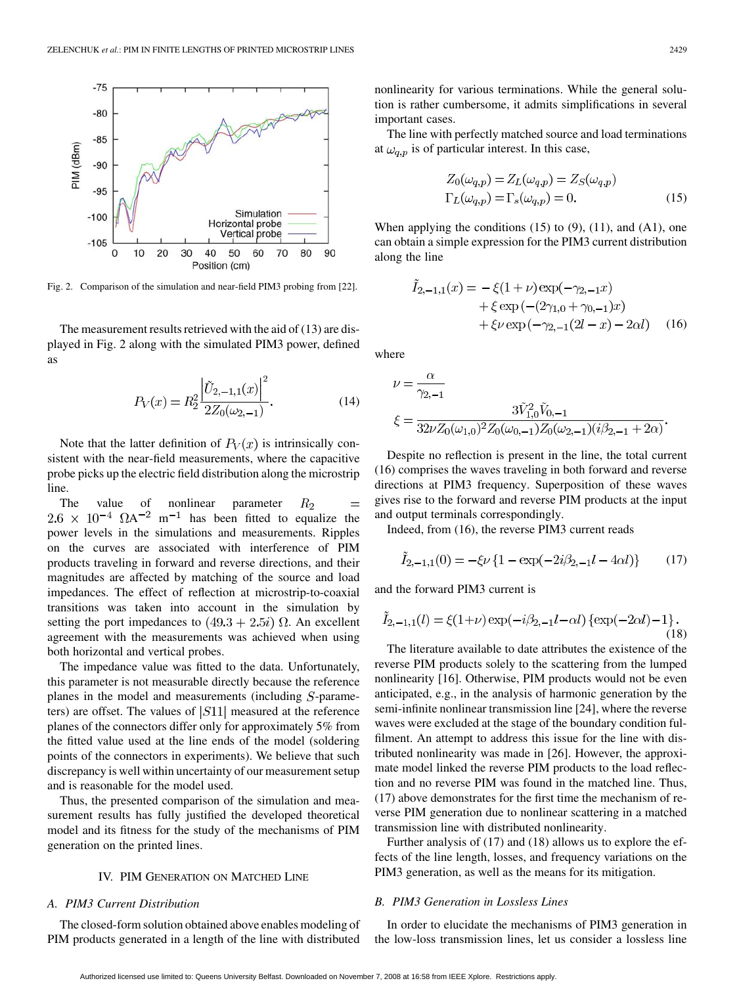

Fig. 2. Comparison of the simulation and near-field PIM3 probing from [22].

The measurement results retrieved with the aid of (13) are displayed in Fig. 2 along with the simulated PIM3 power, defined as

$$
P_V(x) = R_2^2 \frac{\left| \tilde{U}_{2,-1,1}(x) \right|^2}{2Z_0(\omega_{2,-1})}.
$$
 (14)

Note that the latter definition of  $P_V(x)$  is intrinsically consistent with the near-field measurements, where the capacitive probe picks up the electric field distribution along the microstrip line.

The value of nonlinear parameter  $R<sub>2</sub>$  $=$  $2.6 \times 10^{-4}$   $\Omega A^{-2}$  m<sup>-1</sup> has been fitted to equalize the power levels in the simulations and measurements. Ripples on the curves are associated with interference of PIM products traveling in forward and reverse directions, and their magnitudes are affected by matching of the source and load impedances. The effect of reflection at microstrip-to-coaxial transitions was taken into account in the simulation by setting the port impedances to  $(49.3 + 2.5i)$   $\Omega$ . An excellent agreement with the measurements was achieved when using both horizontal and vertical probes.

The impedance value was fitted to the data. Unfortunately, this parameter is not measurable directly because the reference planes in the model and measurements (including  $S$ -parameters) are offset. The values of  $|S11|$  measured at the reference planes of the connectors differ only for approximately 5% from the fitted value used at the line ends of the model (soldering points of the connectors in experiments). We believe that such discrepancy is well within uncertainty of our measurement setup and is reasonable for the model used.

Thus, the presented comparison of the simulation and measurement results has fully justified the developed theoretical model and its fitness for the study of the mechanisms of PIM generation on the printed lines.

# IV. PIM GENERATION ON MATCHED LINE

# *A. PIM3 Current Distribution*

The closed-form solution obtained above enables modeling of PIM products generated in a length of the line with distributed

nonlinearity for various terminations. While the general solution is rather cumbersome, it admits simplifications in several important cases.

The line with perfectly matched source and load terminations at  $\omega_{q,p}$  is of particular interest. In this case,

$$
Z_0(\omega_{q,p}) = Z_L(\omega_{q,p}) = Z_S(\omega_{q,p})
$$
  
\n
$$
\Gamma_L(\omega_{q,p}) = \Gamma_s(\omega_{q,p}) = 0.
$$
\n(15)

When applying the conditions  $(15)$  to  $(9)$ ,  $(11)$ , and  $(A1)$ , one can obtain a simple expression for the PIM3 current distribution along the line

$$
I_{2,-1,1}(x) = -\xi(1+\nu)\exp(-\gamma_{2,-1}x) + \xi \exp(-(2\gamma_{1,0} + \gamma_{0,-1})x) + \xi \nu \exp(-\gamma_{2,-1}(2l-x) - 2\alpha l)
$$
 (16)

where

$$
\begin{split} \nu &= \frac{\alpha}{\gamma_{2,-1}}\\ \xi &= \frac{3\tilde{V}_{1,0}^2\tilde{V}_{0,-1}}{32\nu Z_0(\omega_{1,0})^2Z_0(\omega_{0,-1})Z_0(\omega_{2,-1})(i\beta_{2,-1}+2\alpha)} \end{split}
$$

Despite no reflection is present in the line, the total current (16) comprises the waves traveling in both forward and reverse directions at PIM3 frequency. Superposition of these waves gives rise to the forward and reverse PIM products at the input and output terminals correspondingly.

Indeed, from (16), the reverse PIM3 current reads

$$
\tilde{I}_{2,-1,1}(0) = -\xi \nu \left\{ 1 - \exp(-2i\beta_{2,-1}l - 4\alpha l) \right\} \tag{17}
$$

and the forward PIM3 current is

$$
\tilde{I}_{2,-1,1}(l) = \xi(1+\nu) \exp(-i\beta_{2,-1}l - \alpha l) \left\{ \exp(-2\alpha l) - 1 \right\}.
$$
\n(18)

The literature available to date attributes the existence of the reverse PIM products solely to the scattering from the lumped nonlinearity [16]. Otherwise, PIM products would not be even anticipated, e.g., in the analysis of harmonic generation by the semi-infinite nonlinear transmission line [24], where the reverse waves were excluded at the stage of the boundary condition fulfilment. An attempt to address this issue for the line with distributed nonlinearity was made in [26]. However, the approximate model linked the reverse PIM products to the load reflection and no reverse PIM was found in the matched line. Thus, (17) above demonstrates for the first time the mechanism of reverse PIM generation due to nonlinear scattering in a matched transmission line with distributed nonlinearity.

Further analysis of (17) and (18) allows us to explore the effects of the line length, losses, and frequency variations on the PIM3 generation, as well as the means for its mitigation.

# *B. PIM3 Generation in Lossless Lines*

In order to elucidate the mechanisms of PIM3 generation in the low-loss transmission lines, let us consider a lossless line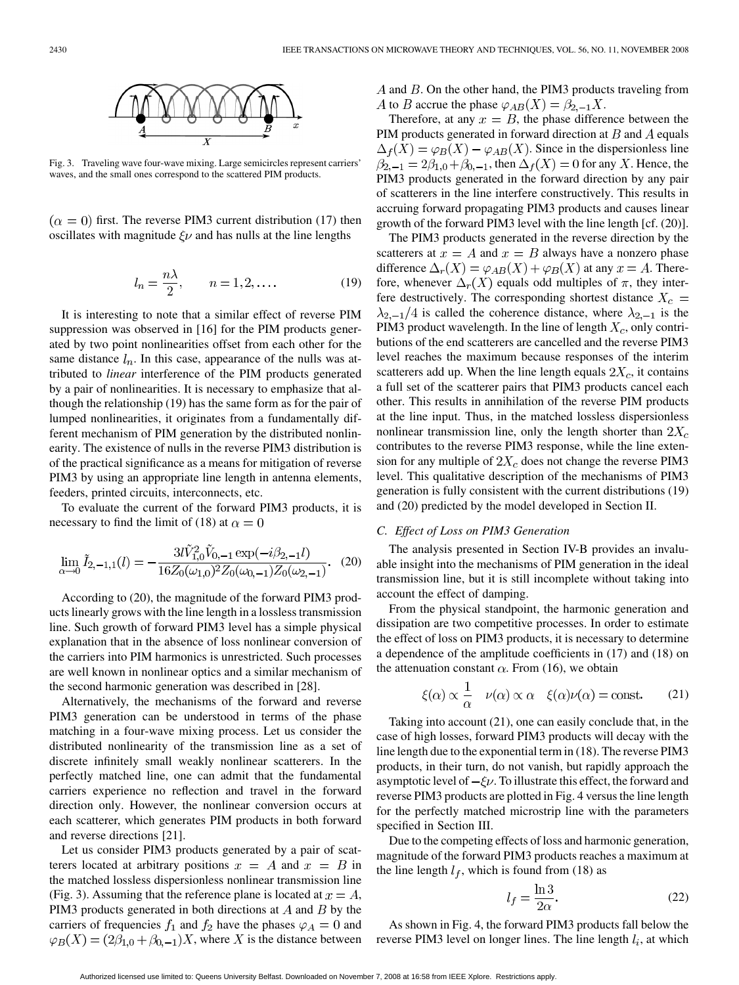

Fig. 3. Traveling wave four-wave mixing. Large semicircles represent carriers' waves, and the small ones correspond to the scattered PIM products.

 $f(x = 0)$  first. The reverse PIM3 current distribution (17) then oscillates with magnitude  $\xi \nu$  and has nulls at the line lengths

$$
l_n = \frac{n\lambda}{2}, \qquad n = 1, 2, \dots \tag{19}
$$

It is interesting to note that a similar effect of reverse PIM suppression was observed in [16] for the PIM products generated by two point nonlinearities offset from each other for the same distance  $l_n$ . In this case, appearance of the nulls was attributed to *linear* interference of the PIM products generated by a pair of nonlinearities. It is necessary to emphasize that although the relationship (19) has the same form as for the pair of lumped nonlinearities, it originates from a fundamentally different mechanism of PIM generation by the distributed nonlinearity. The existence of nulls in the reverse PIM3 distribution is of the practical significance as a means for mitigation of reverse PIM3 by using an appropriate line length in antenna elements, feeders, printed circuits, interconnects, etc.

To evaluate the current of the forward PIM3 products, it is necessary to find the limit of (18) at  $\alpha = 0$ 

$$
\lim_{\alpha \to 0} \tilde{I}_{2,-1,1}(l) = -\frac{3l\tilde{V}_{1,0}^2 \tilde{V}_{0,-1} \exp(-i\beta_{2,-1}l)}{16Z_0(\omega_{1,0})^2 Z_0(\omega_{0,-1})Z_0(\omega_{2,-1})}.
$$
 (20)

According to (20), the magnitude of the forward PIM3 products linearly grows with the line length in a lossless transmission line. Such growth of forward PIM3 level has a simple physical explanation that in the absence of loss nonlinear conversion of the carriers into PIM harmonics is unrestricted. Such processes are well known in nonlinear optics and a similar mechanism of the second harmonic generation was described in [28].

Alternatively, the mechanisms of the forward and reverse PIM3 generation can be understood in terms of the phase matching in a four-wave mixing process. Let us consider the distributed nonlinearity of the transmission line as a set of discrete infinitely small weakly nonlinear scatterers. In the perfectly matched line, one can admit that the fundamental carriers experience no reflection and travel in the forward direction only. However, the nonlinear conversion occurs at each scatterer, which generates PIM products in both forward and reverse directions [21].

Let us consider PIM3 products generated by a pair of scatterers located at arbitrary positions  $x = A$  and  $x = B$  in the matched lossless dispersionless nonlinear transmission line (Fig. 3). Assuming that the reference plane is located at  $x = A$ , PIM3 products generated in both directions at  $A$  and  $B$  by the carriers of frequencies  $f_1$  and  $f_2$  have the phases  $\varphi_A = 0$  and  $\varphi_B(X) = (2\beta_{1,0} + \beta_{0,-1})X$ , where X is the distance between  $A$  and  $B$ . On the other hand, the PIM3 products traveling from A to B accrue the phase  $\varphi_{AB}(X) = \beta_{2,-1} X$ .

Therefore, at any  $x = B$ , the phase difference between the PIM products generated in forward direction at  $B$  and  $A$  equals  $\Delta_f(X) = \varphi_B(X) - \varphi_{AB}(X)$ . Since in the dispersionless line  $\beta_{2,-1} = 2\beta_{1,0} + \beta_{0,-1}$ , then  $\Delta_f(X) = 0$  for any X. Hence, the PIM3 products generated in the forward direction by any pair of scatterers in the line interfere constructively. This results in accruing forward propagating PIM3 products and causes linear growth of the forward PIM3 level with the line length [cf. (20)].

The PIM3 products generated in the reverse direction by the scatterers at  $x = A$  and  $x = B$  always have a nonzero phase difference  $\Delta_r(X) = \varphi_{AB}(X) + \varphi_B(X)$  at any  $x = A$ . Therefore, whenever  $\Delta_r(X)$  equals odd multiples of  $\pi$ , they interfere destructively. The corresponding shortest distance  $X_c$  =  $\lambda_{2,-1}/4$  is called the coherence distance, where  $\lambda_{2,-1}$  is the PIM3 product wavelength. In the line of length  $X_c$ , only contributions of the end scatterers are cancelled and the reverse PIM3 level reaches the maximum because responses of the interim scatterers add up. When the line length equals  $2X_c$ , it contains a full set of the scatterer pairs that PIM3 products cancel each other. This results in annihilation of the reverse PIM products at the line input. Thus, in the matched lossless dispersionless nonlinear transmission line, only the length shorter than  $2X_c$ contributes to the reverse PIM3 response, while the line extension for any multiple of  $2X_c$  does not change the reverse PIM3 level. This qualitative description of the mechanisms of PIM3 generation is fully consistent with the current distributions (19) and (20) predicted by the model developed in Section II.

# *C. Effect of Loss on PIM3 Generation*

The analysis presented in Section IV-B provides an invaluable insight into the mechanisms of PIM generation in the ideal transmission line, but it is still incomplete without taking into account the effect of damping.

From the physical standpoint, the harmonic generation and dissipation are two competitive processes. In order to estimate the effect of loss on PIM3 products, it is necessary to determine a dependence of the amplitude coefficients in (17) and (18) on the attenuation constant  $\alpha$ . From (16), we obtain

$$
\xi(\alpha) \propto \frac{1}{\alpha} \quad \nu(\alpha) \propto \alpha \quad \xi(\alpha)\nu(\alpha) = \text{const.} \tag{21}
$$

Taking into account (21), one can easily conclude that, in the case of high losses, forward PIM3 products will decay with the line length due to the exponential term in (18). The reverse PIM3 products, in their turn, do not vanish, but rapidly approach the asymptotic level of  $-\xi \nu$ . To illustrate this effect, the forward and reverse PIM3 products are plotted in Fig. 4 versus the line length for the perfectly matched microstrip line with the parameters specified in Section III.

Due to the competing effects of loss and harmonic generation, magnitude of the forward PIM3 products reaches a maximum at the line length  $l_f$ , which is found from (18) as

$$
l_f = \frac{\ln 3}{2\alpha}.\tag{22}
$$

As shown in Fig. 4, the forward PIM3 products fall below the reverse PIM3 level on longer lines. The line length  $l_i$ , at which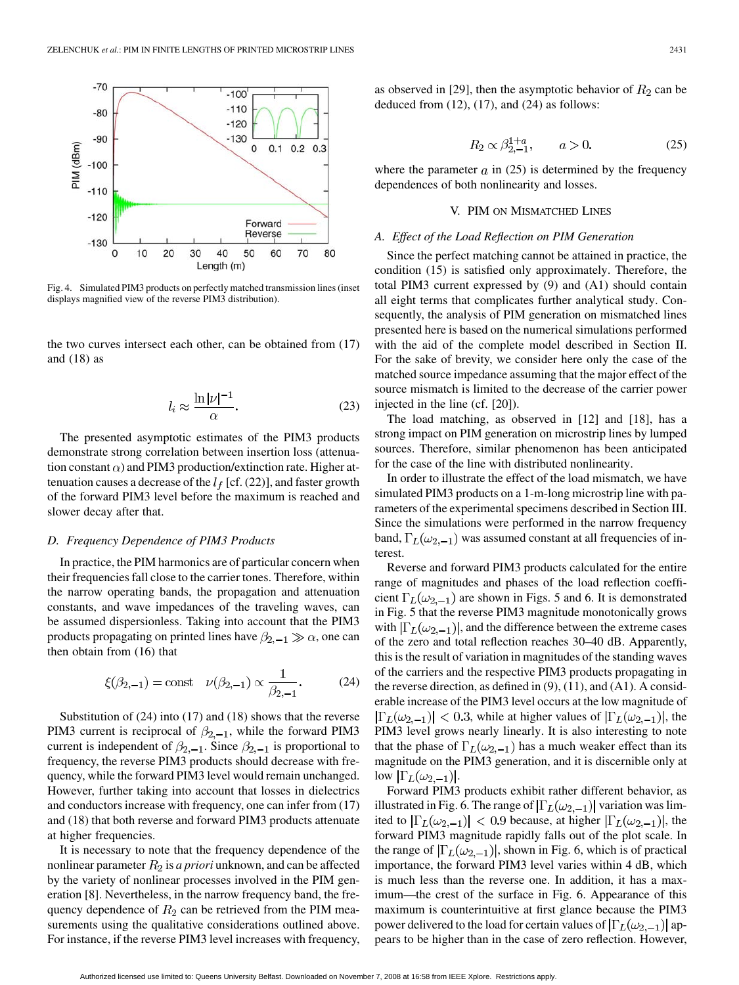

Fig. 4. Simulated PIM3 products on perfectly matched transmission lines (inset displays magnified view of the reverse PIM3 distribution).

the two curves intersect each other, can be obtained from (17) and  $(18)$  as

$$
l_i \approx \frac{\ln|\nu|^{-1}}{\alpha}.\tag{23}
$$

The presented asymptotic estimates of the PIM3 products demonstrate strong correlation between insertion loss (attenuation constant  $\alpha$ ) and PIM3 production/extinction rate. Higher attenuation causes a decrease of the  $l_f$  [cf. (22)], and faster growth of the forward PIM3 level before the maximum is reached and slower decay after that.

## *D. Frequency Dependence of PIM3 Products*

In practice, the PIM harmonics are of particular concern when their frequencies fall close to the carrier tones. Therefore, within the narrow operating bands, the propagation and attenuation constants, and wave impedances of the traveling waves, can be assumed dispersionless. Taking into account that the PIM3 products propagating on printed lines have  $\beta_{2,-1} \gg \alpha$ , one can then obtain from (16) that

$$
\xi(\beta_{2,-1}) = \text{const} \quad \nu(\beta_{2,-1}) \propto \frac{1}{\beta_{2,-1}}.
$$
 (24)

Substitution of (24) into (17) and (18) shows that the reverse PIM3 current is reciprocal of  $\beta_{2,-1}$ , while the forward PIM3 current is independent of  $\beta_{2,-1}$ . Since  $\beta_{2,-1}$  is proportional to frequency, the reverse PIM3 products should decrease with frequency, while the forward PIM3 level would remain unchanged. However, further taking into account that losses in dielectrics and conductors increase with frequency, one can infer from (17) and (18) that both reverse and forward PIM3 products attenuate at higher frequencies.

It is necessary to note that the frequency dependence of the nonlinear parameter  $R_2$  is *a priori* unknown, and can be affected by the variety of nonlinear processes involved in the PIM generation [8]. Nevertheless, in the narrow frequency band, the frequency dependence of  $R_2$  can be retrieved from the PIM measurements using the qualitative considerations outlined above. For instance, if the reverse PIM3 level increases with frequency,

as observed in [29], then the asymptotic behavior of  $R_2$  can be deduced from  $(12)$ ,  $(17)$ , and  $(24)$  as follows:

$$
R_2 \propto \beta_{2,-1}^{1+a}, \qquad a > 0. \tag{25}
$$

where the parameter  $a$  in (25) is determined by the frequency dependences of both nonlinearity and losses.

# V. PIM ON MISMATCHED LINES

## *A. Effect of the Load Reflection on PIM Generation*

Since the perfect matching cannot be attained in practice, the condition (15) is satisfied only approximately. Therefore, the total PIM3 current expressed by (9) and (A1) should contain all eight terms that complicates further analytical study. Consequently, the analysis of PIM generation on mismatched lines presented here is based on the numerical simulations performed with the aid of the complete model described in Section II. For the sake of brevity, we consider here only the case of the matched source impedance assuming that the major effect of the source mismatch is limited to the decrease of the carrier power injected in the line (cf. [20]).

The load matching, as observed in [12] and [18], has a strong impact on PIM generation on microstrip lines by lumped sources. Therefore, similar phenomenon has been anticipated for the case of the line with distributed nonlinearity.

In order to illustrate the effect of the load mismatch, we have simulated PIM3 products on a 1-m-long microstrip line with parameters of the experimental specimens described in Section III. Since the simulations were performed in the narrow frequency band,  $\Gamma_L(\omega_{2,-1})$  was assumed constant at all frequencies of interest.

Reverse and forward PIM3 products calculated for the entire range of magnitudes and phases of the load reflection coefficient  $\Gamma_L(\omega_{2,-1})$  are shown in Figs. 5 and 6. It is demonstrated in Fig. 5 that the reverse PIM3 magnitude monotonically grows with  $|\Gamma_L(\omega_{2,-1})|$ , and the difference between the extreme cases of the zero and total reflection reaches 30–40 dB. Apparently, this is the result of variation in magnitudes of the standing waves of the carriers and the respective PIM3 products propagating in the reverse direction, as defined in (9), (11), and (A1). A considerable increase of the PIM3 level occurs at the low magnitude of  $|\Gamma_L(\omega_{2,-1})| < 0.3$ , while at higher values of  $|\Gamma_L(\omega_{2,-1})|$ , the PIM3 level grows nearly linearly. It is also interesting to note that the phase of  $\Gamma_L(\omega_{2,-1})$  has a much weaker effect than its magnitude on the PIM3 generation, and it is discernible only at low  $|\Gamma_L(\omega_{2,-1})|$ .

Forward PIM3 products exhibit rather different behavior, as illustrated in Fig. 6. The range of  $\left|\Gamma_L(\omega_{2,-1})\right|$  variation was limited to  $|\Gamma_L(\omega_{2,-1})| < 0.9$  because, at higher  $|\Gamma_L(\omega_{2,-1})|$ , the forward PIM3 magnitude rapidly falls out of the plot scale. In the range of  $|\Gamma_L(\omega_{2,-1})|$ , shown in Fig. 6, which is of practical importance, the forward PIM3 level varies within 4 dB, which is much less than the reverse one. In addition, it has a maximum—the crest of the surface in Fig. 6. Appearance of this maximum is counterintuitive at first glance because the PIM3 power delivered to the load for certain values of  $\left|\Gamma_L(\omega_{2,-1})\right|$  appears to be higher than in the case of zero reflection. However,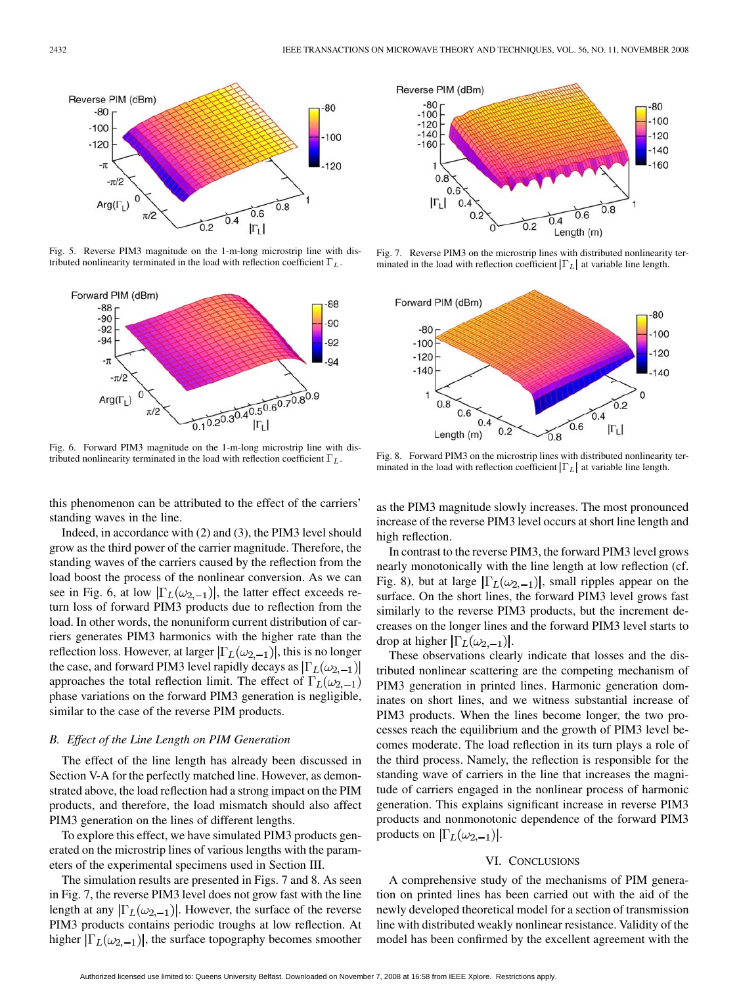

Fig. 5. Reverse PIM3 magnitude on the 1-m-long microstrip line with distributed nonlinearity terminated in the load with reflection coefficient  $\Gamma_L$ .



Fig. 6. Forward PIM3 magnitude on the 1-m-long microstrip line with distributed nonlinearity terminated in the load with reflection coefficient  $\Gamma_L$ .

this phenomenon can be attributed to the effect of the carriers' standing waves in the line.

Indeed, in accordance with (2) and (3), the PIM3 level should grow as the third power of the carrier magnitude. Therefore, the standing waves of the carriers caused by the reflection from the load boost the process of the nonlinear conversion. As we can see in Fig. 6, at low  $|\Gamma_L(\omega_{2,-1})|$ , the latter effect exceeds return loss of forward PIM3 products due to reflection from the load. In other words, the nonuniform current distribution of carriers generates PIM3 harmonics with the higher rate than the reflection loss. However, at larger  $|\Gamma_L(\omega_{2,-1})|$ , this is no longer the case, and forward PIM3 level rapidly decays as  $|\Gamma_L(\omega_{2,-1})|$ approaches the total reflection limit. The effect of  $\Gamma_L(\omega_{2,-1})$ phase variations on the forward PIM3 generation is negligible, similar to the case of the reverse PIM products.

# *B. Effect of the Line Length on PIM Generation*

The effect of the line length has already been discussed in Section V-A for the perfectly matched line. However, as demonstrated above, the load reflection had a strong impact on the PIM products, and therefore, the load mismatch should also affect PIM3 generation on the lines of different lengths.

To explore this effect, we have simulated PIM3 products generated on the microstrip lines of various lengths with the parameters of the experimental specimens used in Section III.

The simulation results are presented in Figs. 7 and 8. As seen in Fig. 7, the reverse PIM3 level does not grow fast with the line length at any  $|\Gamma_L(\omega_{2,-1})|$ . However, the surface of the reverse PIM3 products contains periodic troughs at low reflection. At higher  $|\Gamma_L(\omega_{2,-1})|$ , the surface topography becomes smoother



Fig. 7. Reverse PIM3 on the microstrip lines with distributed nonlinearity terminated in the load with reflection coefficient  $|\Gamma_L|$  at variable line length.



Fig. 8. Forward PIM3 on the microstrip lines with distributed nonlinearity terminated in the load with reflection coefficient  $|\Gamma_L|$  at variable line length.

as the PIM3 magnitude slowly increases. The most pronounced increase of the reverse PIM3 level occurs at short line length and high reflection.

In contrast to the reverse PIM3, the forward PIM3 level grows nearly monotonically with the line length at low reflection (cf. Fig. 8), but at large  $|\Gamma_L(\omega_{2,-1})|$ , small ripples appear on the surface. On the short lines, the forward PIM3 level grows fast similarly to the reverse PIM3 products, but the increment decreases on the longer lines and the forward PIM3 level starts to drop at higher  $|\Gamma_L(\omega_{2,-1})|$ .

These observations clearly indicate that losses and the distributed nonlinear scattering are the competing mechanism of PIM3 generation in printed lines. Harmonic generation dominates on short lines, and we witness substantial increase of PIM3 products. When the lines become longer, the two processes reach the equilibrium and the growth of PIM3 level becomes moderate. The load reflection in its turn plays a role of the third process. Namely, the reflection is responsible for the standing wave of carriers in the line that increases the magnitude of carriers engaged in the nonlinear process of harmonic generation. This explains significant increase in reverse PIM3 products and nonmonotonic dependence of the forward PIM3 products on  $|\Gamma_L(\omega_{2,-1})|$ .

# VI. CONCLUSIONS

A comprehensive study of the mechanisms of PIM generation on printed lines has been carried out with the aid of the newly developed theoretical model for a section of transmission line with distributed weakly nonlinear resistance. Validity of the model has been confirmed by the excellent agreement with the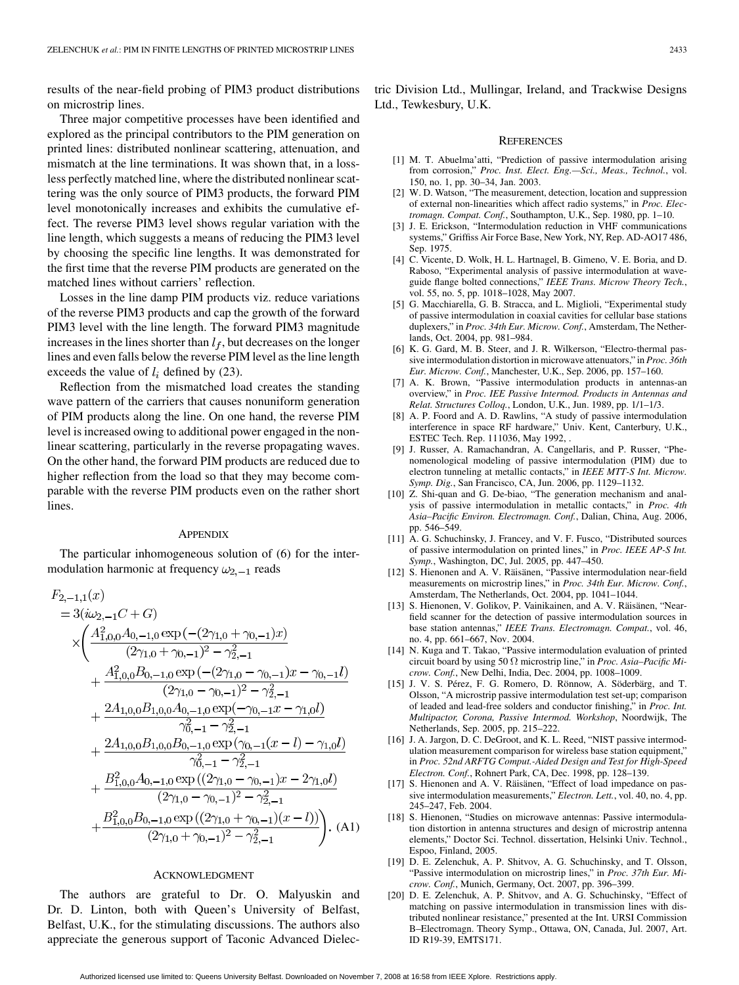results of the near-field probing of PIM3 product distributions on microstrip lines.

Three major competitive processes have been identified and explored as the principal contributors to the PIM generation on printed lines: distributed nonlinear scattering, attenuation, and mismatch at the line terminations. It was shown that, in a lossless perfectly matched line, where the distributed nonlinear scattering was the only source of PIM3 products, the forward PIM level monotonically increases and exhibits the cumulative effect. The reverse PIM3 level shows regular variation with the line length, which suggests a means of reducing the PIM3 level by choosing the specific line lengths. It was demonstrated for the first time that the reverse PIM products are generated on the matched lines without carriers' reflection.

Losses in the line damp PIM products viz. reduce variations of the reverse PIM3 products and cap the growth of the forward PIM3 level with the line length. The forward PIM3 magnitude increases in the lines shorter than  $l_f$ , but decreases on the longer lines and even falls below the reverse PIM level as the line length exceeds the value of  $l_i$  defined by (23).

Reflection from the mismatched load creates the standing wave pattern of the carriers that causes nonuniform generation of PIM products along the line. On one hand, the reverse PIM level is increased owing to additional power engaged in the nonlinear scattering, particularly in the reverse propagating waves. On the other hand, the forward PIM products are reduced due to higher reflection from the load so that they may become comparable with the reverse PIM products even on the rather short lines.

### **APPENDIX**

The particular inhomogeneous solution of (6) for the intermodulation harmonic at frequency  $\omega_{2,-1}$  reads

$$
F_{2,-1,1}(x)
$$
  
= 3( $i\omega_{2,-1}C+G$ )  

$$
\times \left(\frac{A_{1,0,0}^{2}A_{0,-1,0} \exp(-(2\gamma_{1,0}+\gamma_{0,-1})x)}{(2\gamma_{1,0}+\gamma_{0,-1})^{2}-\gamma_{2,-1}^{2}} + \frac{A_{1,0,0}^{2}B_{0,-1,0} \exp(-(2\gamma_{1,0}-\gamma_{0,-1})x-\gamma_{0,-1}l)}{(2\gamma_{1,0}-\gamma_{0,-1})^{2}-\gamma_{2,-1}^{2}} + \frac{2A_{1,0,0}B_{1,0,0}A_{0,-1,0} \exp(-\gamma_{0,-1}x-\gamma_{1,0}l)}{\gamma_{0,-1}^{2}-\gamma_{2,-1}^{2}} + \frac{2A_{1,0,0}B_{1,0,0}B_{0,-1,0} \exp(\gamma_{0,-1}(x-l)-\gamma_{1,0}l)}{\gamma_{0,-1}^{2}-\gamma_{2,-1}^{2}} + \frac{B_{1,0,0}^{2}A_{0,-1,0} \exp((2\gamma_{1,0}-\gamma_{0,-1})x-2\gamma_{1,0}l)}{(2\gamma_{1,0}-\gamma_{0,-1})^{2}-\gamma_{2,-1}^{2}} + \frac{B_{1,0,0}^{2}B_{0,-1,0} \exp((2\gamma_{1,0}-\gamma_{0,-1})x-2\gamma_{1,0}l)}{(2\gamma_{1,0}-\gamma_{0,-1})^{2}-\gamma_{2,-1}^{2}}.
$$
(A1)

## ACKNOWLEDGMENT

The authors are grateful to Dr. O. Malyuskin and Dr. D. Linton, both with Queen's University of Belfast, Belfast, U.K., for the stimulating discussions. The authors also appreciate the generous support of Taconic Advanced Dielectric Division Ltd., Mullingar, Ireland, and Trackwise Designs Ltd., Tewkesbury, U.K.

#### **REFERENCES**

- [1] M. T. Abuelma'atti, "Prediction of passive intermodulation arising from corrosion," *Proc. Inst. Elect. Eng.—Sci., Meas., Technol.*, vol. 150, no. 1, pp. 30–34, Jan. 2003.
- [2] W. D. Watson, "The measurement, detection, location and suppression of external non-linearities which affect radio systems," in *Proc. Electromagn. Compat. Conf.*, Southampton, U.K., Sep. 1980, pp. 1–10.
- [3] J. E. Erickson, "Intermodulation reduction in VHF communications systems," Griffiss Air Force Base, New York, NY, Rep. AD-AO17 486, Sep. 1975.
- [4] C. Vicente, D. Wolk, H. L. Hartnagel, B. Gimeno, V. E. Boria, and D. Raboso, "Experimental analysis of passive intermodulation at waveguide flange bolted connections," *IEEE Trans. Microw Theory Tech.*, vol. 55, no. 5, pp. 1018–1028, May 2007.
- [5] G. Macchiarella, G. B. Stracca, and L. Miglioli, "Experimental study of passive intermodulation in coaxial cavities for cellular base stations duplexers," in *Proc. 34th Eur. Microw. Conf.*, Amsterdam, The Netherlands, Oct. 2004, pp. 981–984.
- [6] K. G. Gard, M. B. Steer, and J. R. Wilkerson, "Electro-thermal passive intermodulation distortion in microwave attenuators," in *Proc. 36th Eur. Microw. Conf.*, Manchester, U.K., Sep. 2006, pp. 157–160.
- [7] A. K. Brown, "Passive intermodulation products in antennas-an overview," in *Proc. IEE Passive Intermod. Products in Antennas and Relat. Structures Colloq.*, London, U.K., Jun. 1989, pp. 1/1–1/3.
- [8] A. P. Foord and A. D. Rawlins, "A study of passive intermodulation interference in space RF hardware," Univ. Kent, Canterbury, U.K., ESTEC Tech. Rep. 111036, May 1992, .
- [9] J. Russer, A. Ramachandran, A. Cangellaris, and P. Russer, "Phenomenological modeling of passive intermodulation (PIM) due to electron tunneling at metallic contacts," in *IEEE MTT-S Int. Microw. Symp. Dig.*, San Francisco, CA, Jun. 2006, pp. 1129–1132.
- [10] Z. Shi-quan and G. De-biao, "The generation mechanism and analysis of passive intermodulation in metallic contacts," in *Proc. 4th Asia–Pacific Environ. Electromagn. Conf.*, Dalian, China, Aug. 2006, pp. 546–549.
- [11] A. G. Schuchinsky, J. Francey, and V. F. Fusco, "Distributed sources of passive intermodulation on printed lines," in *Proc. IEEE AP-S Int. Symp.*, Washington, DC, Jul. 2005, pp. 447–450.
- [12] S. Hienonen and A. V. Räisänen, "Passive intermodulation near-field measurements on microstrip lines," in *Proc. 34th Eur. Microw. Conf.*, Amsterdam, The Netherlands, Oct. 2004, pp. 1041–1044.
- [13] S. Hienonen, V. Golikov, P. Vainikainen, and A. V. Räisänen, "Nearfield scanner for the detection of passive intermodulation sources in base station antennas," *IEEE Trans. Electromagn. Compat.*, vol. 46, no. 4, pp. 661–667, Nov. 2004.
- [14] N. Kuga and T. Takao, "Passive intermodulation evaluation of printed circuit board by using 50 microstrip line," in *Proc. Asia–Pacific Microw. Conf.*, New Delhi, India, Dec. 2004, pp. 1008–1009.
- [15] J. V. S. Pérez, F. G. Romero, D. Rönnow, A. Söderbärg, and T. Olsson, "A microstrip passive intermodulation test set-up; comparison of leaded and lead-free solders and conductor finishing," in *Proc. Int. Multipactor, Corona, Passive Intermod. Workshop*, Noordwijk, The Netherlands, Sep. 2005, pp. 215–222.
- [16] J. A. Jargon, D. C. DeGroot, and K. L. Reed, "NIST passive intermodulation measurement comparison for wireless base station equipment," in *Proc. 52nd ARFTG Comput.-Aided Design and Test for High-Speed Electron. Conf.*, Rohnert Park, CA, Dec. 1998, pp. 128–139.
- [17] S. Hienonen and A. V. Räisänen, "Effect of load impedance on passive intermodulation measurements," *Electron. Lett.*, vol. 40, no. 4, pp. 245–247, Feb. 2004.
- [18] S. Hienonen, "Studies on microwave antennas: Passive intermodulation distortion in antenna structures and design of microstrip antenna elements," Doctor Sci. Technol. dissertation, Helsinki Univ. Technol., Espoo, Finland, 2005.
- [19] D. E. Zelenchuk, A. P. Shitvov, A. G. Schuchinsky, and T. Olsson, "Passive intermodulation on microstrip lines," in *Proc. 37th Eur. Microw. Conf.*, Munich, Germany, Oct. 2007, pp. 396–399.
- [20] D. E. Zelenchuk, A. P. Shitvov, and A. G. Schuchinsky, "Effect of matching on passive intermodulation in transmission lines with distributed nonlinear resistance," presented at the Int. URSI Commission B–Electromagn. Theory Symp., Ottawa, ON, Canada, Jul. 2007, Art. ID R19-39, EMTS171.